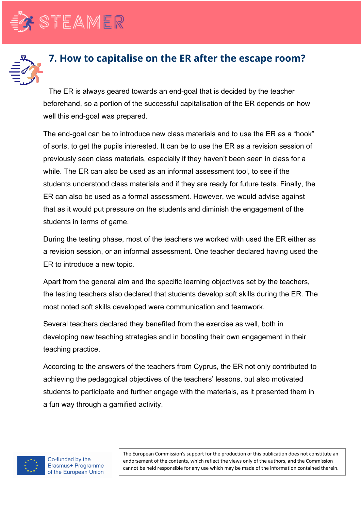



## **7. How to capitalise on the ER after the escape room?**

The ER is always geared towards an end-goal that is decided by the teacher beforehand, so a portion of the successful capitalisation of the ER depends on how well this end-goal was prepared.

The end-goal can be to introduce new class materials and to use the ER as a "hook" of sorts, to get the pupils interested. It can be to use the ER as a revision session of previously seen class materials, especially if they haven't been seen in class for a while. The ER can also be used as an informal assessment tool, to see if the students understood class materials and if they are ready for future tests. Finally, the ER can also be used as a formal assessment. However, we would advise against that as it would put pressure on the students and diminish the engagement of the students in terms of game.

During the testing phase, most of the teachers we worked with used the ER either as a revision session, or an informal assessment. One teacher declared having used the ER to introduce a new topic.

Apart from the general aim and the specific learning objectives set by the teachers, the testing teachers also declared that students develop soft skills during the ER. The most noted soft skills developed were communication and teamwork.

Several teachers declared they benefited from the exercise as well, both in developing new teaching strategies and in boosting their own engagement in their teaching practice.

According to the answers of the teachers from Cyprus, the ER not only contributed to achieving the pedagogical objectives of the teachers' lessons, but also motivated students to participate and further engage with the materials, as it presented them in a fun way through a gamified activity.



Co-funded by the Erasmus+ Programme of the European Union

The European Commission's support for the production of this publication does not constitute an endorsement of the contents, which reflect the views only of the authors, and the Commission cannot be held responsible for any use which may be made of the information contained therein.